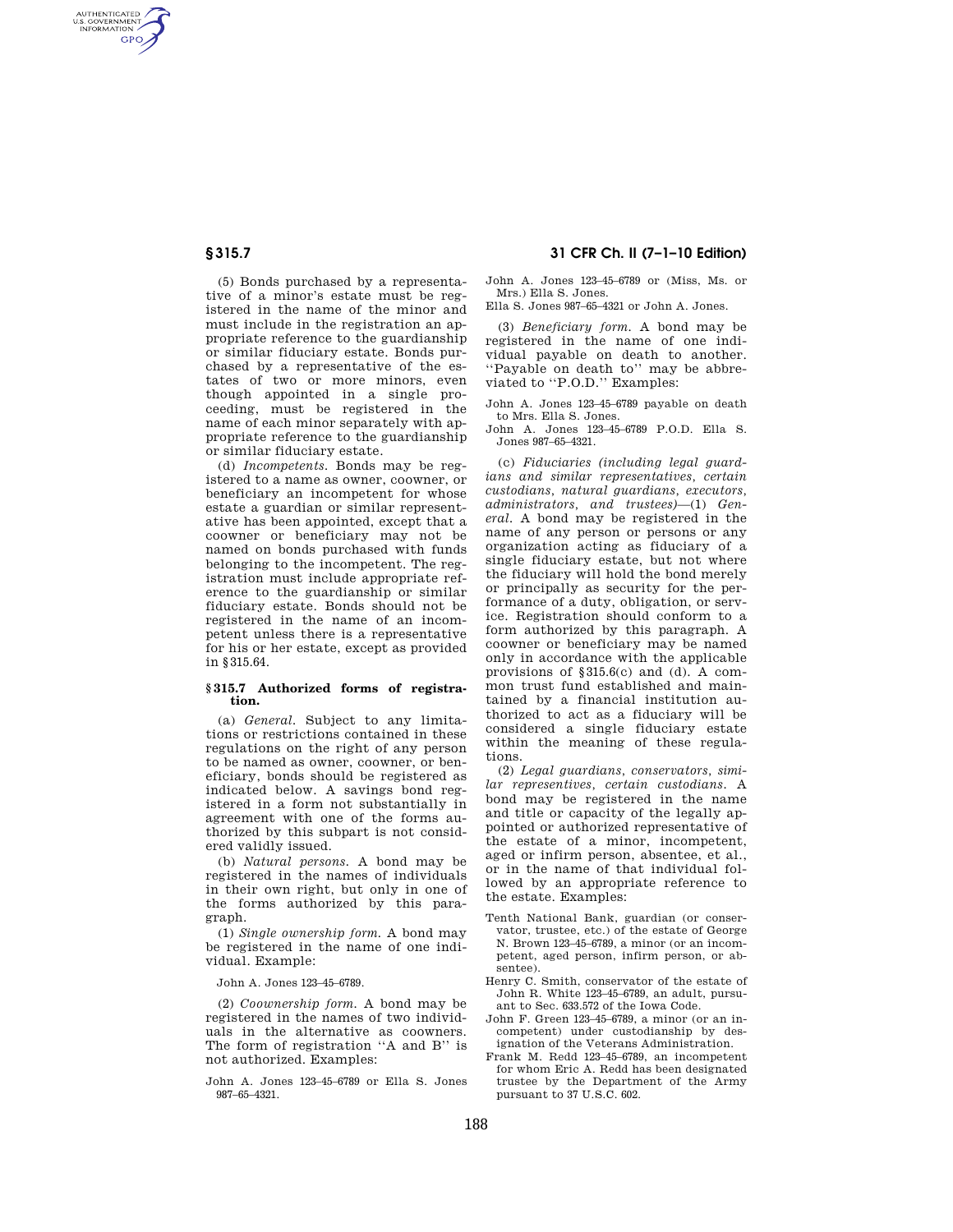AUTHENTICATED<br>U.S. GOVERNMENT<br>INFORMATION **GPO** 

> (5) Bonds purchased by a representative of a minor's estate must be registered in the name of the minor and must include in the registration an appropriate reference to the guardianship or similar fiduciary estate. Bonds purchased by a representative of the estates of two or more minors, even though appointed in a single proceeding, must be registered in the name of each minor separately with appropriate reference to the guardianship or similar fiduciary estate.

> (d) *Incompetents.* Bonds may be registered to a name as owner, coowner, or beneficiary an incompetent for whose estate a guardian or similar representative has been appointed, except that a coowner or beneficiary may not be named on bonds purchased with funds belonging to the incompetent. The registration must include appropriate reference to the guardianship or similar fiduciary estate. Bonds should not be registered in the name of an incompetent unless there is a representative for his or her estate, except as provided in §315.64.

#### **§ 315.7 Authorized forms of registration.**

(a) *General.* Subject to any limitations or restrictions contained in these regulations on the right of any person to be named as owner, coowner, or beneficiary, bonds should be registered as indicated below. A savings bond registered in a form not substantially in agreement with one of the forms authorized by this subpart is not considered validly issued.

(b) *Natural persons.* A bond may be registered in the names of individuals in their own right, but only in one of the forms authorized by this paragraph.

(1) *Single ownership form.* A bond may be registered in the name of one individual. Example:

John A. Jones 123–45–6789.

(2) *Coownership form.* A bond may be registered in the names of two individuals in the alternative as coowners. The form of registration ''A and B'' is not authorized. Examples:

John A. Jones 123–45–6789 or Ella S. Jones 987–65–4321.

# **§ 315.7 31 CFR Ch. II (7–1–10 Edition)**

John A. Jones 123–45–6789 or (Miss, Ms. or Mrs.) Ella S. Jones.

Ella S. Jones 987–65–4321 or John A. Jones.

(3) *Beneficiary form.* A bond may be registered in the name of one individual payable on death to another. ''Payable on death to'' may be abbreviated to "P.O.D." Examples:

John A. Jones 123–45–6789 payable on death to Mrs. Ella S. Jones.

John A. Jones 123–45–6789 P.O.D. Ella S. Jones 987–65–4321.

(c) *Fiduciaries (including legal guardians and similar representatives, certain custodians, natural guardians, executors, administrators, and trustees)*—(1) *General.* A bond may be registered in the name of any person or persons or any organization acting as fiduciary of a single fiduciary estate, but not where the fiduciary will hold the bond merely or principally as security for the performance of a duty, obligation, or service. Registration should conform to a form authorized by this paragraph. A coowner or beneficiary may be named only in accordance with the applicable provisions of §315.6(c) and (d). A common trust fund established and maintained by a financial institution authorized to act as a fiduciary will be considered a single fiduciary estate within the meaning of these regulations.

(2) *Legal guardians, conservators, similar representives, certain custodians.* A bond may be registered in the name and title or capacity of the legally appointed or authorized representative of the estate of a minor, incompetent, aged or infirm person, absentee, et al., or in the name of that individual followed by an appropriate reference to the estate. Examples:

- Tenth National Bank, guardian (or conservator, trustee, etc.) of the estate of George N. Brown 123–45–6789, a minor (or an incompetent, aged person, infirm person, or absentee).
- Henry C. Smith, conservator of the estate of John R. White 123–45–6789, an adult, pursuant to Sec. 633.572 of the Iowa Code.
- John F. Green 123–45–6789, a minor (or an incompetent) under custodianship by designation of the Veterans Administration.
- Frank M. Redd 123–45–6789, an incompetent for whom Eric A. Redd has been designated trustee by the Department of the Army pursuant to 37 U.S.C. 602.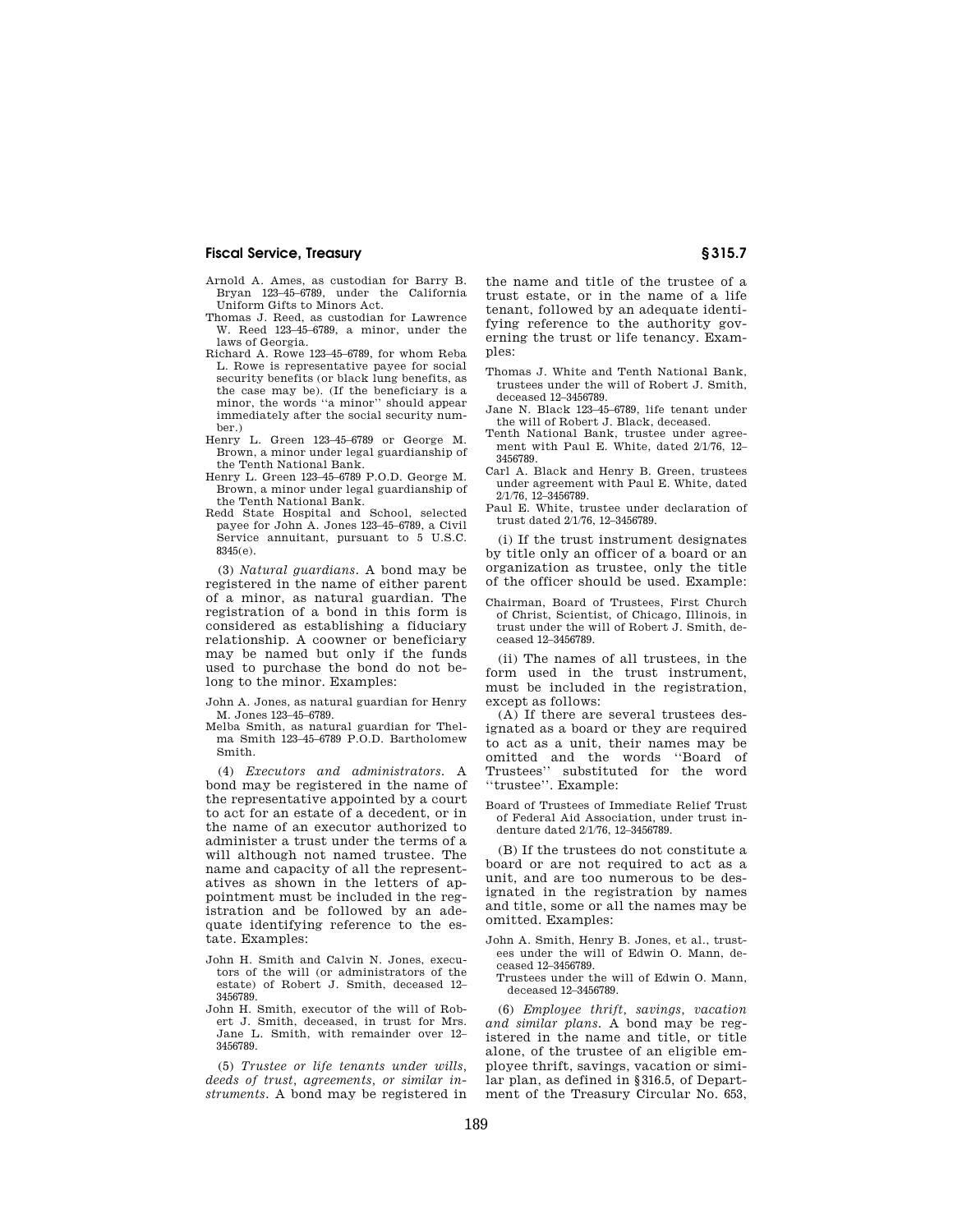### **Fiscal Service, Treasury § 315.7**

- Arnold A. Ames, as custodian for Barry B. Bryan 123–45–6789, under the California Uniform Gifts to Minors Act.
- Thomas J. Reed, as custodian for Lawrence W. Reed 123–45–6789, a minor, under the laws of Georgia.
- Richard A. Rowe 123–45–6789, for whom Reba L. Rowe is representative payee for social security benefits (or black lung benefits, as the case may be). (If the beneficiary is a minor, the words ''a minor'' should appear immediately after the social security number.)
- Henry L. Green 123–45–6789 or George M. Brown, a minor under legal guardianship of the Tenth National Bank.
- Henry L. Green 123–45–6789 P.O.D. George M. Brown, a minor under legal guardianship of the Tenth National Bank.
- Redd State Hospital and School, selected payee for John A. Jones 123–45–6789, a Civil Service annuitant, pursuant to 5 U.S.C. 8345(e).

(3) *Natural guardians.* A bond may be registered in the name of either parent of a minor, as natural guardian. The registration of a bond in this form is considered as establishing a fiduciary relationship. A coowner or beneficiary may be named but only if the funds used to purchase the bond do not belong to the minor. Examples:

John A. Jones, as natural guardian for Henry M. Jones 123–45–6789.

Melba Smith, as natural guardian for Thelma Smith 123–45–6789 P.O.D. Bartholomew Smith.

(4) *Executors and administrators.* A bond may be registered in the name of the representative appointed by a court to act for an estate of a decedent, or in the name of an executor authorized to administer a trust under the terms of a will although not named trustee. The name and capacity of all the representatives as shown in the letters of appointment must be included in the registration and be followed by an adequate identifying reference to the estate. Examples:

- John H. Smith and Calvin N. Jones, executors of the will (or administrators of the estate) of Robert J. Smith, deceased 12– 3456789.
- John H. Smith, executor of the will of Robert J. Smith, deceased, in trust for Mrs. Jane L. Smith, with remainder over 12– 3456789.

(5) *Trustee or life tenants under wills, deeds of trust, agreements, or similar instruments.* A bond may be registered in

the name and title of the trustee of a trust estate, or in the name of a life tenant, followed by an adequate identifying reference to the authority governing the trust or life tenancy. Examples:

- Thomas J. White and Tenth National Bank, trustees under the will of Robert J. Smith, deceased 12–3456789.
- Jane N. Black 123–45–6789, life tenant under the will of Robert J. Black, deceased.
- Tenth National Bank, trustee under agreement with Paul E. White, dated 2/1/76, 12– 3456789.
- Carl A. Black and Henry B. Green, trustees under agreement with Paul E. White, dated 2/1/76, 12–3456789.
- Paul E. White, trustee under declaration of trust dated 2/1/76, 12–3456789.

(i) If the trust instrument designates by title only an officer of a board or an organization as trustee, only the title of the officer should be used. Example:

Chairman, Board of Trustees, First Church of Christ, Scientist, of Chicago, Illinois, in trust under the will of Robert J. Smith, deceased 12–3456789.

(ii) The names of all trustees, in the form used in the trust instrument, must be included in the registration, except as follows:

(A) If there are several trustees designated as a board or they are required to act as a unit, their names may be omitted and the words ''Board of Trustees'' substituted for the word ''trustee''. Example:

Board of Trustees of Immediate Relief Trust of Federal Aid Association, under trust indenture dated 2/1/76, 12–3456789.

(B) If the trustees do not constitute a board or are not required to act as a unit, and are too numerous to be designated in the registration by names and title, some or all the names may be omitted. Examples:

- John A. Smith, Henry B. Jones, et al., trustees under the will of Edwin O. Mann, deceased 12–3456789.
- Trustees under the will of Edwin O. Mann, deceased 12–3456789.

(6) *Employee thrift, savings, vacation and similar plans.* A bond may be registered in the name and title, or title alone, of the trustee of an eligible employee thrift, savings, vacation or similar plan, as defined in §316.5, of Department of the Treasury Circular No. 653,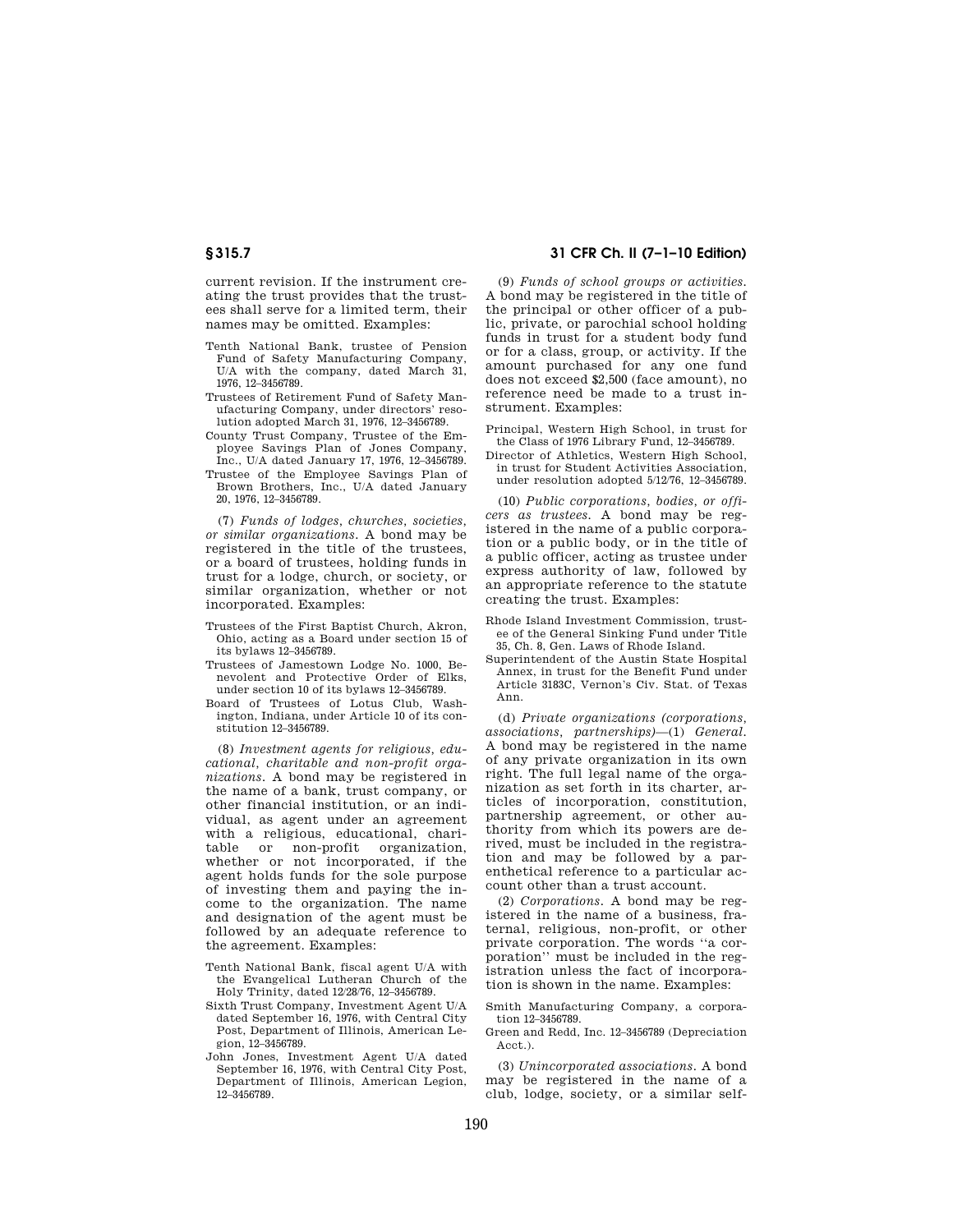current revision. If the instrument creating the trust provides that the trustees shall serve for a limited term, their names may be omitted. Examples:

- Tenth National Bank, trustee of Pension Fund of Safety Manufacturing Company, U/A with the company, dated March 31, 1976, 12–3456789.
- Trustees of Retirement Fund of Safety Manufacturing Company, under directors' resolution adopted March 31, 1976, 12–3456789.
- County Trust Company, Trustee of the Employee Savings Plan of Jones Company, Inc., U/A dated January 17, 1976, 12–3456789.
- Trustee of the Employee Savings Plan of Brown Brothers, Inc., U/A dated January 20, 1976, 12–3456789.

(7) *Funds of lodges, churches, societies, or similar organizations.* A bond may be registered in the title of the trustees, or a board of trustees, holding funds in trust for a lodge, church, or society, or similar organization, whether or not incorporated. Examples:

- Trustees of the First Baptist Church, Akron, Ohio, acting as a Board under section 15 of its bylaws 12–3456789.
- Trustees of Jamestown Lodge No. 1000, Benevolent and Protective Order of Elks, under section 10 of its bylaws 12–3456789.
- Board of Trustees of Lotus Club, Washington, Indiana, under Article 10 of its constitution 12–3456789.

(8) *Investment agents for religious, educational, charitable and non-profit organizations.* A bond may be registered in the name of a bank, trust company, or other financial institution, or an individual, as agent under an agreement with a religious, educational, chari-<br>table or non-profit organization. non-profit organization, whether or not incorporated, if the agent holds funds for the sole purpose of investing them and paying the income to the organization. The name and designation of the agent must be followed by an adequate reference to the agreement. Examples:

- Tenth National Bank, fiscal agent U/A with the Evangelical Lutheran Church of the Holy Trinity, dated 12/28/76, 12–3456789.
- Sixth Trust Company, Investment Agent U/A dated September 16, 1976, with Central City Post, Department of Illinois, American Legion, 12–3456789.
- John Jones, Investment Agent U/A dated September 16, 1976, with Central City Post, Department of Illinois, American Legion, 12–3456789.

# **§ 315.7 31 CFR Ch. II (7–1–10 Edition)**

(9) *Funds of school groups or activities.*  A bond may be registered in the title of the principal or other officer of a public, private, or parochial school holding funds in trust for a student body fund or for a class, group, or activity. If the amount purchased for any one fund does not exceed \$2,500 (face amount), no reference need be made to a trust instrument. Examples:

Principal, Western High School, in trust for the Class of 1976 Library Fund, 12–3456789.

Director of Athletics, Western High School, in trust for Student Activities Association, under resolution adopted 5/12/76, 12–3456789.

(10) *Public corporations, bodies, or officers as trustees.* A bond may be registered in the name of a public corporation or a public body, or in the title of a public officer, acting as trustee under express authority of law, followed by an appropriate reference to the statute creating the trust. Examples:

- Rhode Island Investment Commission, trustee of the General Sinking Fund under Title 35, Ch. 8, Gen. Laws of Rhode Island.
- Superintendent of the Austin State Hospital Annex, in trust for the Benefit Fund under Article 3183C, Vernon's Civ. Stat. of Texas Ann.

(d) *Private organizations (corporations, associations, partnerships)*—(1) *General.*  A bond may be registered in the name of any private organization in its own right. The full legal name of the organization as set forth in its charter, articles of incorporation, constitution, partnership agreement, or other authority from which its powers are derived, must be included in the registration and may be followed by a parenthetical reference to a particular account other than a trust account.

(2) *Corporations.* A bond may be registered in the name of a business, fraternal, religious, non-profit, or other private corporation. The words ''a corporation'' must be included in the registration unless the fact of incorporation is shown in the name. Examples:

- Smith Manufacturing Company, a corporation 12–3456789.
- Green and Redd, Inc. 12–3456789 (Depreciation Acct.).

(3) *Unincorporated associations.* A bond may be registered in the name of a club, lodge, society, or a similar self-